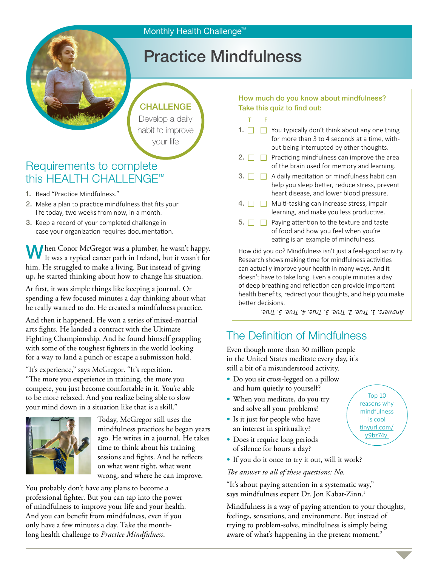### Monthly Health Challenge<sup>™</sup>

# Practice Mindfulness

CHALLENGE Develop a daily habit to improve your life

## Requirements to complete this HEALTH CHALLENGE™

- 1. Read "Practice Mindfulness."
- 2. Make a plan to practice mindfulness that fits your life today, two weeks from now, in a month.
- 3. Keep a record of your completed challenge in case your organization requires documentation.

**h** hen Conor McGregor was a plumber, he wasn't happy. It was a typical career path in Ireland, but it wasn't for him. He struggled to make a living. But instead of giving up, he started thinking about how to change his situation.

At first, it was simple things like keeping a journal. Or spending a few focused minutes a day thinking about what he really wanted to do. He created a mindfulness practice.

And then it happened. He won a series of mixed-martial arts fights. He landed a contract with the Ultimate Fighting Championship. And he found himself grappling with some of the toughest fighters in the world looking for a way to land a punch or escape a submission hold.

"It's experience," says McGregor. "It's repetition.

"The more you experience in training, the more you compete, you just become comfortable in it. You're able to be more relaxed. And you realize being able to slow your mind down in a situation like that is a skill."



Today, McGregor still uses the mindfulness practices he began years ago. He writes in a journal. He takes time to think about his training sessions and fights. And he reflects on what went right, what went wrong, and where he can improve.

You probably don't have any plans to become a professional fighter. But you can tap into the power of mindfulness to improve your life and your health. And you can benefit from mindfulness, even if you only have a few minutes a day. Take the monthlong health challenge to *Practice Mindfulness*.

#### How much do you know about mindfulness? Take this quiz to find out:

- T F
- 1.  $\Box$  You typically don't think about any one thing for more than 3 to 4 seconds at a time, without being interrupted by other thoughts.
- 2.  $\Box$  Practicing mindfulness can improve the area of the brain used for memory and learning.
- 3.  $\Box$  A daily meditation or mindfulness habit can help you sleep better, reduce stress, prevent heart disease, and lower blood pressure.
- 4.  $\Box$  Multi-tasking can increase stress, impair learning, and make you less productive.
- $\overline{5}$ .  $\Box$  Paying attention to the texture and taste of food and how you feel when you're eating is an example of mindfulness.

How did you do? Mindfulness isn't just a feel-good activity. Research shows making time for mindfulness activities can actually improve your health in many ways. And it doesn't have to take long. Even a couple minutes a day of deep breathing and reflection can provide important health benefits, redirect your thoughts, and help you make better decisions.

*Answers. 1. True. 2. True. 3. True. 4. True. 5. True.*

## The Definition of Mindfulness

Even though more than 30 million people in the United States meditate every day, it's still a bit of a misunderstood activity.

- Do you sit cross-legged on a pillow and hum quietly to yourself?
- When you meditate, do you try and solve all your problems?
- Is it just for people who have an interest in spirituality?
- Does it require long periods of silence for hours a day?
- If you do it once to try it out, will it work?

*The answer to all of these questions: No.*

"It's about paying attention in a systematic way," says mindfulness expert Dr. Jon Kabat-Zinn.1

Mindfulness is a way of paying attention to your thoughts, feelings, sensations, and environment. But instead of trying to problem-solve, mindfulness is simply being aware of what's happening in the present moment.<sup>2</sup>

Top 10 reasons why mindfulness is cool [tinyurl.com/](http://tinyurl.com/y9bz74yl) [y9bz74yl](http://tinyurl.com/y9bz74yl)

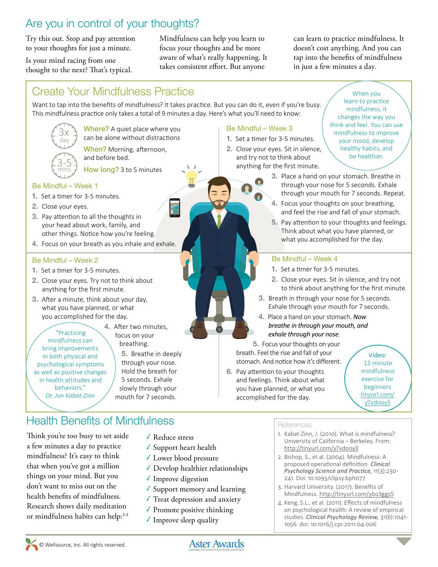## Are you in control of your thoughts?

Try this out. Stop and pay attention to your thoughts for just a minute.

Is your mind racing from one thought to the next? That's typical. Mindfulness can help you learn to focus your thoughts and be more aware of what's really happening. It takes consistent effort. But anyone

can learn to practice mindfulness. It doesn't cost anything. And you can tap into the benefits of mindfulness in just a few minutes a day.

## Create Your Mindfulness Practice

Want to tap into the benefits of mindfulness? It takes practice. But you can do it, even if you're busy. This mindfulness practice only takes a total of 9 minutes a day. Here's what you'll need to know:

 $\frac{1}{2}$ 



Where? A quiet place where you can be alone without distractions

When? Morning, afternoon, and before bed.

How long? 3 to 5 minutes

#### Be Mindful – Week 1

- 1. Set a timer for 3-5 minutes.
- 2. Close your eyes.
- 3. Pay attention to all the thoughts in your head about work, family, and other things. Notice how you're feeling.
- 4. Focus on your breath as you inhale and exhale.

#### Be Mindful – Week 2

- 1. Set a timer for 3-5 minutes.
- 2. Close your eyes. Try not to think about anything for the first minute.
- 3. After a minute, think about your day, what you have planned, or what you accomplished for the day.

"Practicing mindfulness can bring improvements in both physical and psychological symptoms as well as positive changes in health attitudes and behaviors." *Dr. Jon Kabat‑Zinn*

4. After two minutes, focus on your breathing. 5. Breathe in deeply through your nose.

Hold the breath for 5 seconds. Exhale slowly through your mouth for 7 seconds.

## Health Benefits of Mindfulness **References**

- Think you're too busy to set aside a few minutes a day to practice mindfulness? It's easy to think that when you've got a million things on your mind. But you don't want to miss out on the health benefits of mindfulness. Research shows daily meditation or mindfulness habits can help:<sup>3,4</sup>
- ✓ Reduce stress
- ✓ Support heart health
- ✓ Lower blood pressure
- ✓ Develop healthier relationships
- ✓ Improve digestion
- ✓ Support memory and learning
- ✓ Treat depression and anxiety
- $\sqrt{\ }$  Promote positive thinking
- ✓ Improve sleep quality

#### Be Mindful – Week 3

- 1. Set a timer for 3-5 minutes.
- 2. Close your eyes. Sit in silence, and try not to think about anything for the first minute.

When you learn to practice mindfulness, it changes the way you think and feel. You can use mindfulness to improve your mood, develop healthy habits, and be healthier.

- 3. Place a hand on your stomach. Breathe in through your nose for 5 seconds. Exhale through your mouth for 7 seconds. Repeat.
- 4. Focus your thoughts on your breathing, and feel the rise and fall of your stomach.
- 5. Pay attention to your thoughts and feelings. Think about what you have planned, or what you accomplished for the day.

#### Be Mindful – Week 4

- 1. Set a timer for 3-5 minutes.
- 2. Close your eyes. Sit in silence, and try not to think about anything for the first minute.
- 3. Breath in through your nose for 5 seconds. Exhale through your mouth for 7 seconds.
- 4. Place a hand on your stomach. *Now breathe in through your mouth, and exhale through your nose*.

5. Focus your thoughts on your breath. Feel the rise and fall of your stomach. And notice how it's different.

6. Pay attention to your thoughts and feelings. Think about what you have planned, or what you accomplished for the day.

Video: 12-minute mindfulness exercise for beginners [tinyurl.com/](http://tinyurl.com/y7vdooy3) [y7vdooy3](http://tinyurl.com/y7vdooy3)

- 1. Kabat-Zinn, J. (2010). What is mindfulness? University of California – Berkeley. From: <http://tinyurl.com/y7vdooy3>
- 2. Bishop, S., et al. (2004). Mindfulness: A proposed operational definition. *Clinical Psychology Science and Practice,* 11(3):230- 241. Doi: 10.1093/clipsy.bph077
- 3. Harvard University. (2017). Benefits of Mindfulness. <http://tinyurl.com/ybo3ggs5>
- 4. Keng, S.L., et al. (2011). Effects of mindfulness on psychological health: A review of empirical studies. *Clinical Psychology Review,* 31(6):1041- 1056. doi: 10.1016/j.cpr.2011.04.006